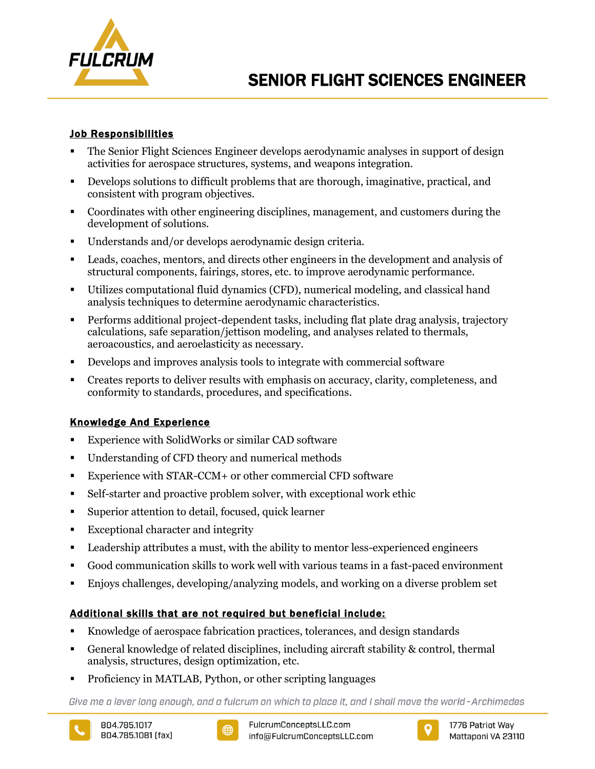

# Job Responsibilities

- The Senior Flight Sciences Engineer develops aerodynamic analyses in support of design activities for aerospace structures, systems, and weapons integration.
- Develops solutions to difficult problems that are thorough, imaginative, practical, and consistent with program objectives.
- Coordinates with other engineering disciplines, management, and customers during the development of solutions.
- Understands and/or develops aerodynamic design criteria.
- Leads, coaches, mentors, and directs other engineers in the development and analysis of structural components, fairings, stores, etc. to improve aerodynamic performance.
- Utilizes computational fluid dynamics (CFD), numerical modeling, and classical hand analysis techniques to determine aerodynamic characteristics.
- Performs additional project-dependent tasks, including flat plate drag analysis, trajectory calculations, safe separation/jettison modeling, and analyses related to thermals, aeroacoustics, and aeroelasticity as necessary.
- Develops and improves analysis tools to integrate with commercial software
- Creates reports to deliver results with emphasis on accuracy, clarity, completeness, and conformity to standards, procedures, and specifications.

## Knowledge And Experience

- Experience with SolidWorks or similar CAD software
- Understanding of CFD theory and numerical methods
- Experience with STAR-CCM+ or other commercial CFD software
- Self-starter and proactive problem solver, with exceptional work ethic
- Superior attention to detail, focused, quick learner
- Exceptional character and integrity
- Leadership attributes a must, with the ability to mentor less-experienced engineers
- Good communication skills to work well with various teams in a fast-paced environment
- Enjoys challenges, developing/analyzing models, and working on a diverse problem set

# Additional skills that are not required but beneficial include:

- Knowledge of aerospace fabrication practices, tolerances, and design standards
- General knowledge of related disciplines, including aircraft stability & control, thermal analysis, structures, design optimization, etc.
- Proficiency in MATLAB, Python, or other scripting languages

Give me a lever long enough, and a fulcrum on which to place it, and I shall move the world-Archimedes